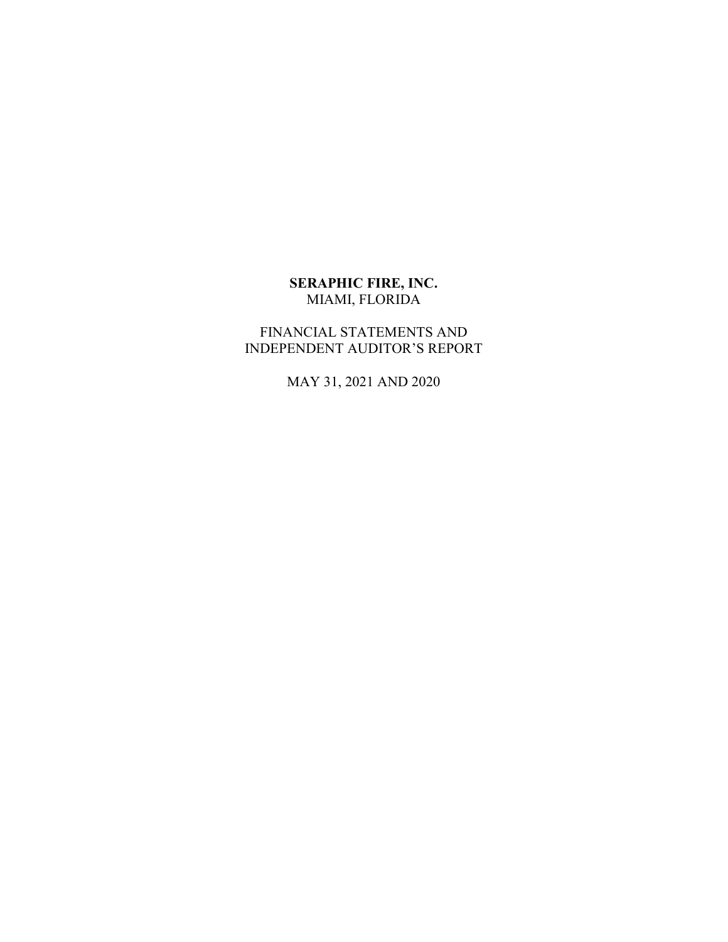## **SERAPHIC FIRE, INC.**  MIAMI, FLORIDA

## FINANCIAL STATEMENTS AND INDEPENDENT AUDITOR'S REPORT

MAY 31, 2021 AND 2020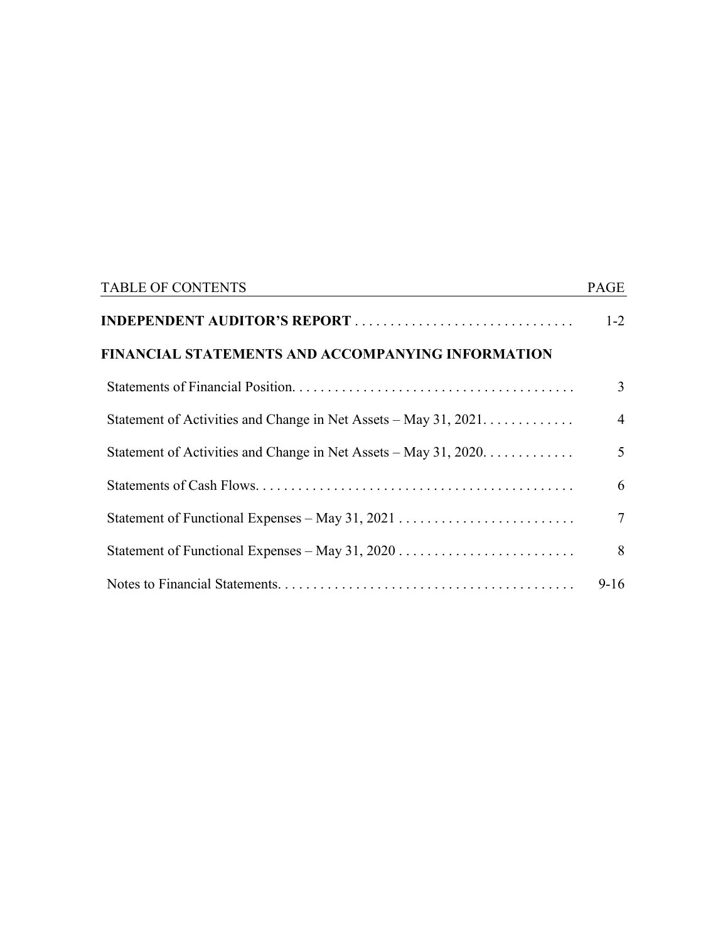| <b>TABLE OF CONTENTS</b>                                         | PAGE           |
|------------------------------------------------------------------|----------------|
|                                                                  | $1 - 2$        |
| FINANCIAL STATEMENTS AND ACCOMPANYING INFORMATION                |                |
|                                                                  | 3              |
| Statement of Activities and Change in Net Assets – May 31, 2021. | $\overline{4}$ |
| Statement of Activities and Change in Net Assets – May 31, 2020. | 5 <sup>5</sup> |
|                                                                  | 6              |
|                                                                  | $\tau$         |
|                                                                  | 8              |
|                                                                  | $9-16$         |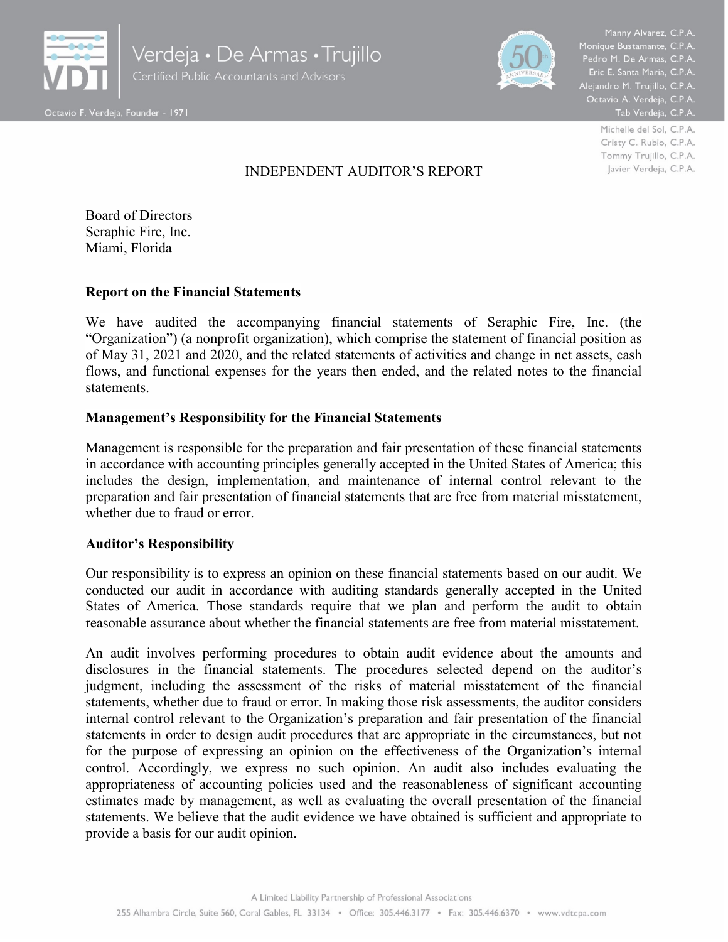



Pedro M. De Armas, C.P.A. Eric E. Santa Maria, C.P.A. Alejandro M. Trujillo, C.P.A. .<br>.Octavio A. Verdeja, C.P.A<br>.Tab Verdeja, C.P.A

> Michelle del Sol, C.P.A. Cristy C. Rubio, C.P.A. Tommy Trujillo, C.P.A. Javier Verdeja, C.P.A.

## INDEPENDENT AUDITOR'S REPORT

Board of Directors Seraphic Fire, Inc. Miami, Florida

#### **Report on the Financial Statements**

We have audited the accompanying financial statements of Seraphic Fire, Inc. (the "Organization") (a nonprofit organization), which comprise the statement of financial position as of May 31, 2021 and 2020, and the related statements of activities and change in net assets, cash flows, and functional expenses for the years then ended, and the related notes to the financial statements.

## **Management's Responsibility for the Financial Statements**

Management is responsible for the preparation and fair presentation of these financial statements in accordance with accounting principles generally accepted in the United States of America; this includes the design, implementation, and maintenance of internal control relevant to the preparation and fair presentation of financial statements that are free from material misstatement, whether due to fraud or error.

#### **Auditor's Responsibility**

Our responsibility is to express an opinion on these financial statements based on our audit. We conducted our audit in accordance with auditing standards generally accepted in the United States of America. Those standards require that we plan and perform the audit to obtain reasonable assurance about whether the financial statements are free from material misstatement.

An audit involves performing procedures to obtain audit evidence about the amounts and disclosures in the financial statements. The procedures selected depend on the auditor's judgment, including the assessment of the risks of material misstatement of the financial statements, whether due to fraud or error. In making those risk assessments, the auditor considers internal control relevant to the Organization's preparation and fair presentation of the financial statements in order to design audit procedures that are appropriate in the circumstances, but not for the purpose of expressing an opinion on the effectiveness of the Organization's internal control. Accordingly, we express no such opinion. An audit also includes evaluating the appropriateness of accounting policies used and the reasonableness of significant accounting estimates made by management, as well as evaluating the overall presentation of the financial statements. We believe that the audit evidence we have obtained is sufficient and appropriate to provide a basis for our audit opinion.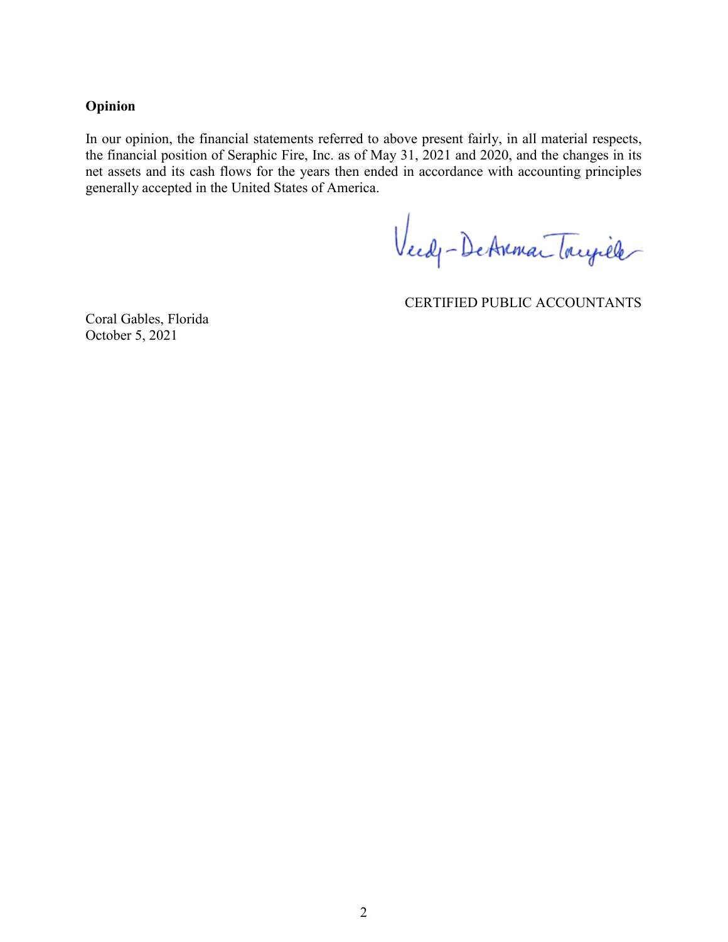#### **Opinion**

In our opinion, the financial statements referred to above present fairly, in all material respects, the financial position of Seraphic Fire, Inc. as of May 31, 2021 and 2020, and the changes in its net assets and its cash flows for the years then ended in accordance with accounting principles generally accepted in the United States of America.

Veedy-DeAnman Toujille

CERTIFIED PUBLIC ACCOUNTANTS

Coral Gables, Florida October 5, 2021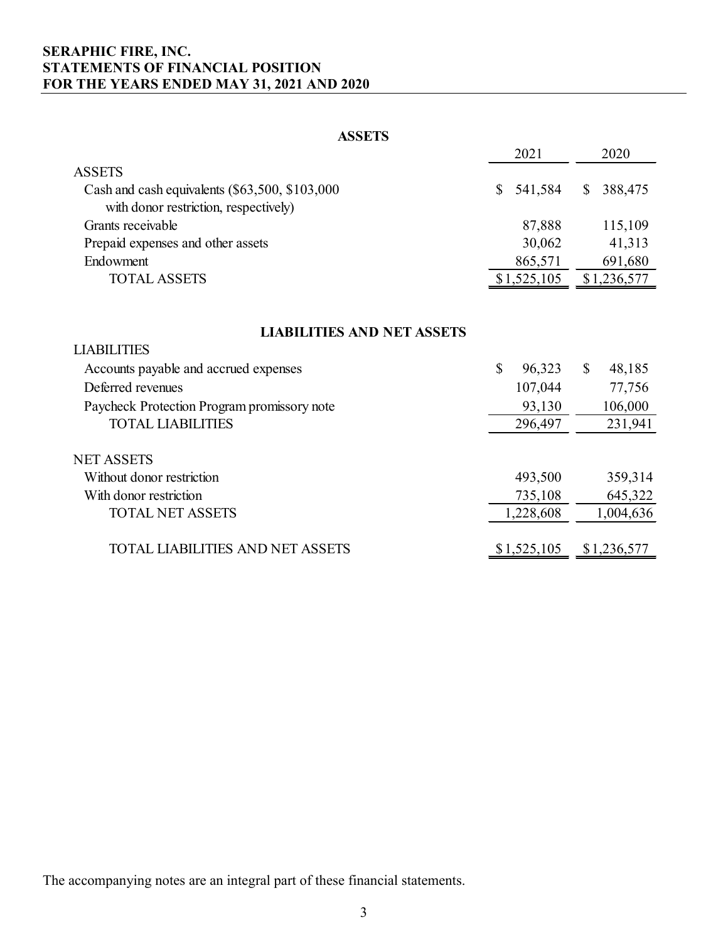## **SERAPHIC FIRE, INC. STATEMENTS OF FINANCIAL POSITION FOR THE YEARS ENDED MAY 31, 2021 AND 2020**

#### **ASSETS**

|                                                  | 2021        | 2020        |
|--------------------------------------------------|-------------|-------------|
| <b>ASSETS</b>                                    |             |             |
| Cash and cash equivalents $(\$63,500, \$103,000$ | \$541,584   | \$ 388,475  |
| with donor restriction, respectively)            |             |             |
| Grants receivable                                | 87,888      | 115,109     |
| Prepaid expenses and other assets                | 30,062      | 41,313      |
| Endowment                                        | 865,571     | 691,680     |
| <b>TOTAL ASSETS</b>                              | \$1,525,105 | \$1,236,577 |

## **LIABILITIES AND NET ASSETS**

| <b>LIABILITIES</b>                          |              |              |             |
|---------------------------------------------|--------------|--------------|-------------|
| Accounts payable and accrued expenses       | \$<br>96,323 | $\mathbb{S}$ | 48,185      |
| Deferred revenues                           | 107,044      |              | 77,756      |
| Paycheck Protection Program promissory note | 93,130       |              | 106,000     |
| <b>TOTAL LIABILITIES</b>                    | 296,497      |              | 231,941     |
| <b>NET ASSETS</b>                           |              |              |             |
| Without donor restriction                   | 493,500      |              | 359,314     |
| With donor restriction                      | 735,108      |              | 645,322     |
| <b>TOTAL NET ASSETS</b>                     | 1,228,608    |              | 1,004,636   |
| TOTAL LIABILITIES AND NET ASSETS            | \$1,525,105  |              | \$1,236,577 |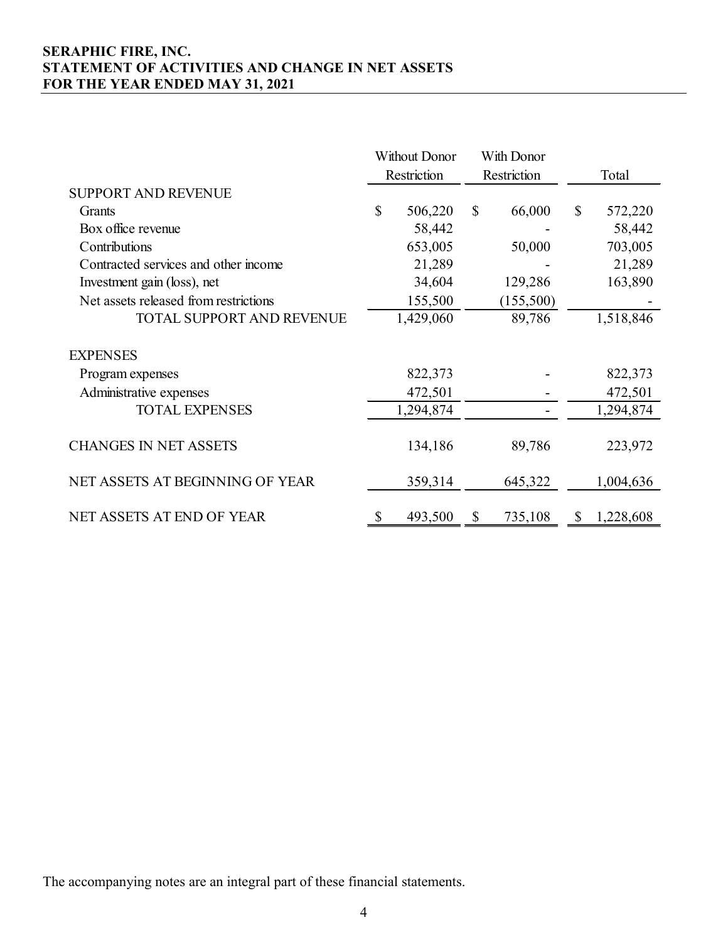## **SERAPHIC FIRE, INC. STATEMENT OF ACTIVITIES AND CHANGE IN NET ASSETS FOR THE YEAR ENDED MAY 31, 2021**

|                                       | Without Donor |             | With Donor    |                 |
|---------------------------------------|---------------|-------------|---------------|-----------------|
|                                       |               | Restriction | Restriction   | Total           |
| <b>SUPPORT AND REVENUE</b>            |               |             |               |                 |
| Grants                                | $\mathbb{S}$  | 506,220     | \$<br>66,000  | \$<br>572,220   |
| Box office revenue                    |               | 58,442      |               | 58,442          |
| Contributions                         |               | 653,005     | 50,000        | 703,005         |
| Contracted services and other income  |               | 21,289      |               | 21,289          |
| Investment gain (loss), net           |               | 34,604      | 129,286       | 163,890         |
| Net assets released from restrictions |               | 155,500     | (155,500)     |                 |
| <b>TOTAL SUPPORT AND REVENUE</b>      |               | 1,429,060   | 89,786        | 1,518,846       |
| <b>EXPENSES</b>                       |               |             |               |                 |
| Program expenses                      |               | 822,373     |               | 822,373         |
| Administrative expenses               |               | 472,501     |               | 472,501         |
| <b>TOTAL EXPENSES</b>                 |               | 1,294,874   |               | 1,294,874       |
| <b>CHANGES IN NET ASSETS</b>          |               | 134,186     | 89,786        | 223,972         |
| NET ASSETS AT BEGINNING OF YEAR       |               | 359,314     | 645,322       | 1,004,636       |
| NET ASSETS AT END OF YEAR             |               | 493,500     | \$<br>735,108 | \$<br>1,228,608 |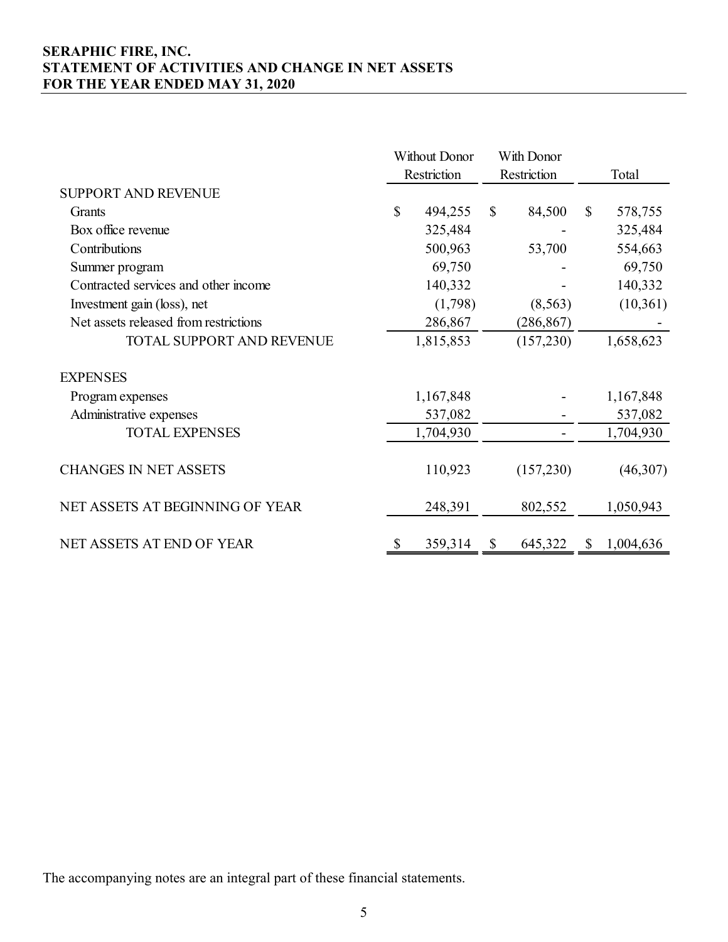## **SERAPHIC FIRE, INC. STATEMENT OF ACTIVITIES AND CHANGE IN NET ASSETS FOR THE YEAR ENDED MAY 31, 2020**

|                                       | Without Donor |             |              | With Donor  |              |           |
|---------------------------------------|---------------|-------------|--------------|-------------|--------------|-----------|
|                                       |               | Restriction |              | Restriction |              | Total     |
| <b>SUPPORT AND REVENUE</b>            |               |             |              |             |              |           |
| Grants                                | \$            | 494,255     | $\mathbb{S}$ | 84,500      | $\mathbb{S}$ | 578,755   |
| Box office revenue                    |               | 325,484     |              |             |              | 325,484   |
| Contributions                         |               | 500,963     |              | 53,700      |              | 554,663   |
| Summer program                        |               | 69,750      |              |             |              | 69,750    |
| Contracted services and other income  |               | 140,332     |              |             |              | 140,332   |
| Investment gain (loss), net           |               | (1,798)     |              | (8,563)     |              | (10,361)  |
| Net assets released from restrictions |               | 286,867     |              | (286, 867)  |              |           |
| <b>TOTAL SUPPORT AND REVENUE</b>      |               | 1,815,853   |              | (157, 230)  |              | 1,658,623 |
| <b>EXPENSES</b>                       |               |             |              |             |              |           |
| Program expenses                      |               | 1,167,848   |              |             |              | 1,167,848 |
| Administrative expenses               |               | 537,082     |              |             |              | 537,082   |
| <b>TOTAL EXPENSES</b>                 |               | 1,704,930   |              |             |              | 1,704,930 |
| <b>CHANGES IN NET ASSETS</b>          |               | 110,923     |              | (157,230)   |              | (46,307)  |
| NET ASSETS AT BEGINNING OF YEAR       |               | 248,391     |              | 802,552     |              | 1,050,943 |
| NET ASSETS AT END OF YEAR             | S             | 359,314     | <sup>S</sup> | 645,322     | \$           | 1,004,636 |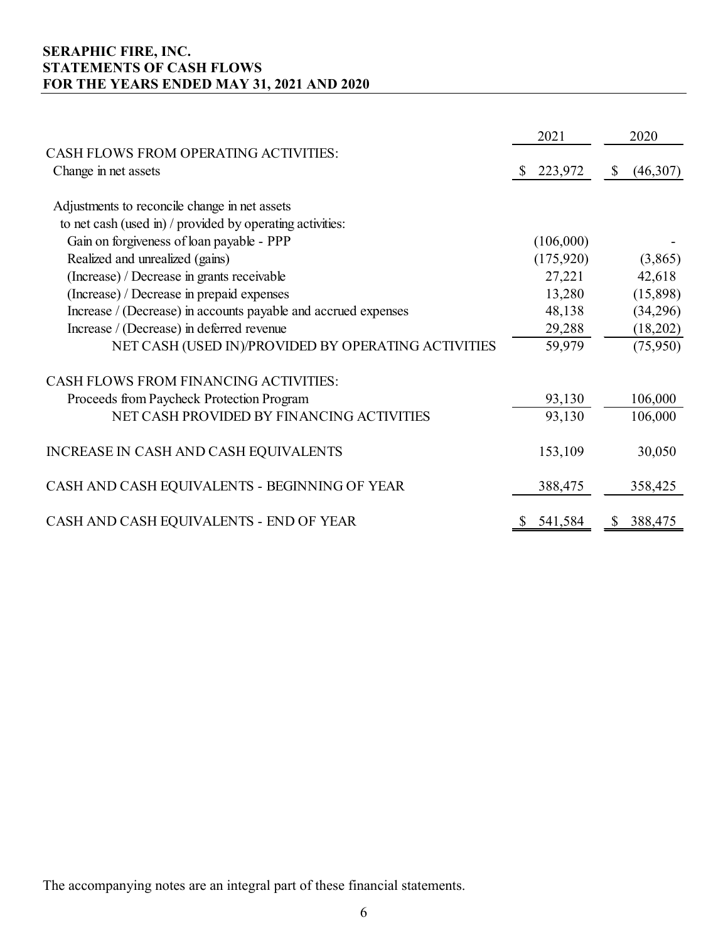## **SERAPHIC FIRE, INC. STATEMENTS OF CASH FLOWS FOR THE YEARS ENDED MAY 31, 2021 AND 2020**

|                                                                |          | 2021      | 2020           |
|----------------------------------------------------------------|----------|-----------|----------------|
| <b>CASH FLOWS FROM OPERATING ACTIVITIES:</b>                   |          |           |                |
| Change in net assets                                           | <b>S</b> | 223,972   | \$<br>(46,307) |
| Adjustments to reconcile change in net assets                  |          |           |                |
| to net cash (used in) / provided by operating activities:      |          |           |                |
| Gain on forgiveness of loan payable - PPP                      |          | (106,000) |                |
| Realized and unrealized (gains)                                |          | (175,920) | (3,865)        |
| (Increase) / Decrease in grants receivable                     |          | 27,221    | 42,618         |
| (Increase) / Decrease in prepaid expenses                      |          | 13,280    | (15,898)       |
| Increase / (Decrease) in accounts payable and accrued expenses |          | 48,138    | (34,296)       |
| Increase / (Decrease) in deferred revenue                      |          | 29,288    | (18,202)       |
| NET CASH (USED IN)/PROVIDED BY OPERATING ACTIVITIES            |          | 59,979    | (75,950)       |
| <b>CASH FLOWS FROM FINANCING ACTIVITIES:</b>                   |          |           |                |
| Proceeds from Paycheck Protection Program                      |          | 93,130    | 106,000        |
| NET CASH PROVIDED BY FINANCING ACTIVITIES                      |          | 93,130    | 106,000        |
| INCREASE IN CASH AND CASH EQUIVALENTS                          |          | 153,109   | 30,050         |
| CASH AND CASH EQUIVALENTS - BEGINNING OF YEAR                  |          | 388,475   | 358,425        |
| CASH AND CASH EQUIVALENTS - END OF YEAR                        |          | 541,584   | 388,475        |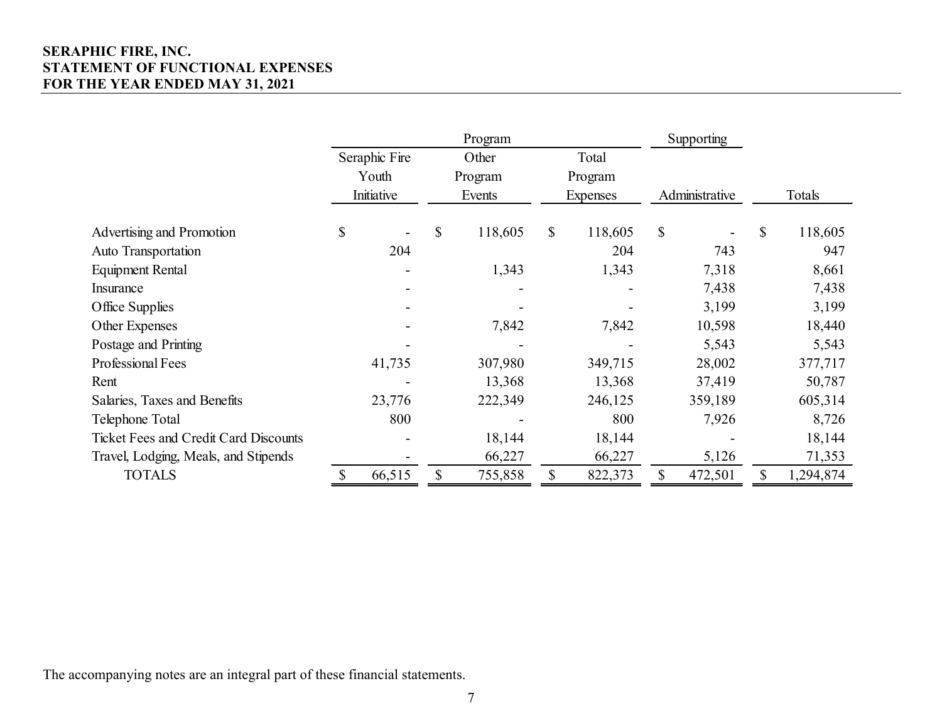## **SERAPHIC FIRE, INC. STATEMENT OF FUNCTIONAL EXPENSES FOR THE YEAR ENDED MAY 31, 2021**

|                                              |               |        | Program       |         |                 | Supporting     |         |               |           |
|----------------------------------------------|---------------|--------|---------------|---------|-----------------|----------------|---------|---------------|-----------|
|                                              | Seraphic Fire |        | Other         |         | Total           |                |         |               |           |
|                                              | Youth         |        | Program       | Program |                 |                |         |               |           |
|                                              | Initiative    |        | Events        |         | <b>Expenses</b> | Administrative |         |               | Totals    |
| Advertising and Promotion                    | \$            |        | \$<br>118,605 | \$      | 118,605         | \$             |         | $\mathcal{S}$ | 118,605   |
| Auto Transportation                          |               | 204    |               |         | 204             |                | 743     |               | 947       |
| Equipment Rental                             |               |        | 1,343         |         | 1,343           |                | 7,318   |               | 8,661     |
| Insurance                                    |               |        |               |         |                 |                | 7,438   |               | 7,438     |
| Office Supplies                              |               |        |               |         |                 |                | 3,199   |               | 3,199     |
| Other Expenses                               |               |        | 7,842         |         | 7,842           |                | 10,598  |               | 18,440    |
| Postage and Printing                         |               |        |               |         |                 |                | 5,543   |               | 5,543     |
| Professional Fees                            |               | 41,735 | 307,980       |         | 349,715         |                | 28,002  |               | 377,717   |
| Rent                                         |               |        | 13,368        |         | 13,368          |                | 37,419  |               | 50,787    |
| Salaries, Taxes and Benefits                 |               | 23,776 | 222,349       |         | 246,125         |                | 359,189 |               | 605,314   |
| Telephone Total                              |               | 800    |               |         | 800             |                | 7,926   |               | 8,726     |
| <b>Ticket Fees and Credit Card Discounts</b> |               |        | 18,144        |         | 18,144          |                |         |               | 18,144    |
| Travel, Lodging, Meals, and Stipends         |               |        | 66,227        |         | 66,227          |                | 5,126   |               | 71,353    |
| <b>TOTALS</b>                                |               | 66,515 | \$<br>755,858 | \$      | 822,373         |                | 472,501 | \$            | 1,294,874 |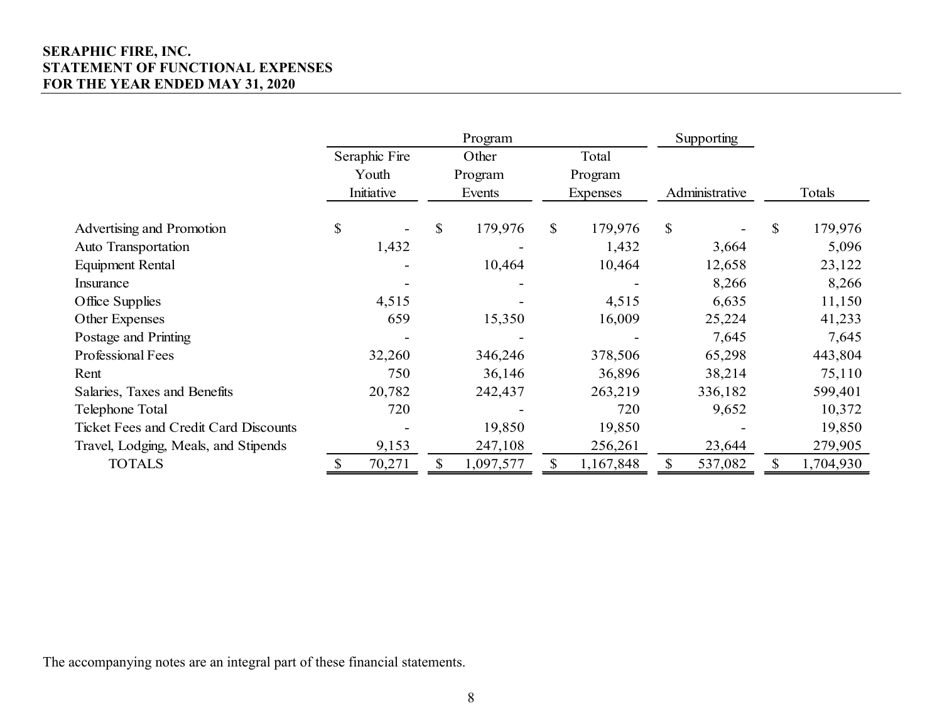## **SERAPHIC FIRE, INC. STATEMENT OF FUNCTIONAL EXPENSES FOR THE YEAR ENDED MAY 31, 2020**

|                                              |               |                           | Program   |         |                 | Supporting     |         |                 |
|----------------------------------------------|---------------|---------------------------|-----------|---------|-----------------|----------------|---------|-----------------|
|                                              | Seraphic Fire |                           | Other     |         | Total           |                |         |                 |
|                                              | Youth         |                           | Program   |         | Program         |                |         |                 |
|                                              | Initiative    |                           | Events    |         | <b>Expenses</b> | Administrative |         | Totals          |
|                                              |               |                           |           |         |                 |                |         |                 |
| Advertising and Promotion                    | \$            | $\boldsymbol{\mathsf{S}}$ | 179,976   | \$      | 179,976         | \$             |         | \$<br>179,976   |
| Auto Transportation                          | 1,432         |                           |           |         | 1,432           |                | 3,664   | 5,096           |
| <b>Equipment Rental</b>                      |               |                           | 10,464    |         | 10,464          |                | 12,658  | 23,122          |
| Insurance                                    |               |                           |           |         |                 |                | 8,266   | 8,266           |
| Office Supplies                              | 4,515         |                           |           | 4,515   |                 | 6,635          |         | 11,150          |
| Other Expenses                               | 659           | 15,350                    |           | 16,009  |                 | 25,224         |         | 41,233          |
| Postage and Printing                         |               |                           |           |         |                 |                | 7,645   | 7,645           |
| Professional Fees                            | 32,260        |                           | 346,246   |         | 378,506         |                | 65,298  | 443,804         |
| Rent                                         | 750           |                           | 36,146    |         | 36,896          |                | 38,214  | 75,110          |
| Salaries, Taxes and Benefits                 | 20,782        |                           | 242,437   |         | 263,219         |                | 336,182 | 599,401         |
| Telephone Total                              | 720           |                           |           |         | 720             |                | 9,652   | 10,372          |
| <b>Ticket Fees and Credit Card Discounts</b> |               |                           | 19,850    |         | 19,850          |                |         | 19,850          |
| Travel, Lodging, Meals, and Stipends         | 9,153         | 247,108                   |           | 256,261 |                 | 23,644         |         | 279,905         |
| <b>TOTALS</b>                                | 70,271        |                           | 1,097,577 |         | 1,167,848       | \$             | 537,082 | \$<br>1,704,930 |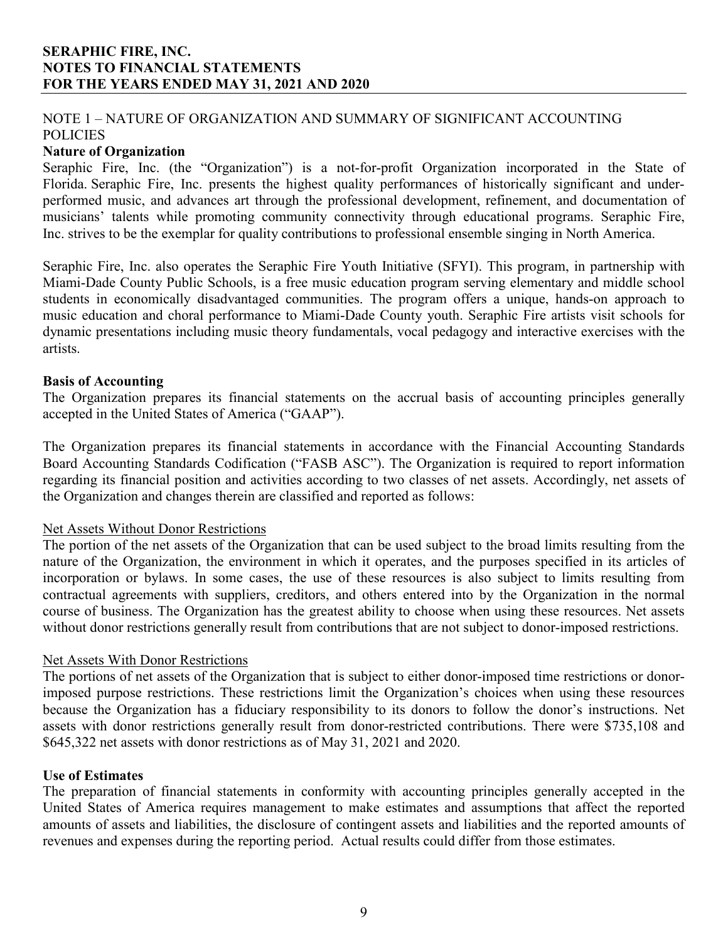## NOTE 1 – NATURE OF ORGANIZATION AND SUMMARY OF SIGNIFICANT ACCOUNTING POLICIES

#### **Nature of Organization**

Seraphic Fire, Inc. (the "Organization") is a not-for-profit Organization incorporated in the State of Florida. Seraphic Fire, Inc. presents the highest quality performances of historically significant and underperformed music, and advances art through the professional development, refinement, and documentation of musicians' talents while promoting community connectivity through educational programs. Seraphic Fire, Inc. strives to be the exemplar for quality contributions to professional ensemble singing in North America.

Seraphic Fire, Inc. also operates the Seraphic Fire Youth Initiative (SFYI). This program, in partnership with Miami-Dade County Public Schools, is a free music education program serving elementary and middle school students in economically disadvantaged communities. The program offers a unique, hands-on approach to music education and choral performance to Miami-Dade County youth. Seraphic Fire artists visit schools for dynamic presentations including music theory fundamentals, vocal pedagogy and interactive exercises with the artists.

#### **Basis of Accounting**

The Organization prepares its financial statements on the accrual basis of accounting principles generally accepted in the United States of America ("GAAP").

The Organization prepares its financial statements in accordance with the Financial Accounting Standards Board Accounting Standards Codification ("FASB ASC"). The Organization is required to report information regarding its financial position and activities according to two classes of net assets. Accordingly, net assets of the Organization and changes therein are classified and reported as follows:

#### Net Assets Without Donor Restrictions

The portion of the net assets of the Organization that can be used subject to the broad limits resulting from the nature of the Organization, the environment in which it operates, and the purposes specified in its articles of incorporation or bylaws. In some cases, the use of these resources is also subject to limits resulting from contractual agreements with suppliers, creditors, and others entered into by the Organization in the normal course of business. The Organization has the greatest ability to choose when using these resources. Net assets without donor restrictions generally result from contributions that are not subject to donor-imposed restrictions.

#### Net Assets With Donor Restrictions

The portions of net assets of the Organization that is subject to either donor-imposed time restrictions or donorimposed purpose restrictions. These restrictions limit the Organization's choices when using these resources because the Organization has a fiduciary responsibility to its donors to follow the donor's instructions. Net assets with donor restrictions generally result from donor-restricted contributions. There were \$735,108 and \$645,322 net assets with donor restrictions as of May 31, 2021 and 2020.

#### **Use of Estimates**

The preparation of financial statements in conformity with accounting principles generally accepted in the United States of America requires management to make estimates and assumptions that affect the reported amounts of assets and liabilities, the disclosure of contingent assets and liabilities and the reported amounts of revenues and expenses during the reporting period. Actual results could differ from those estimates.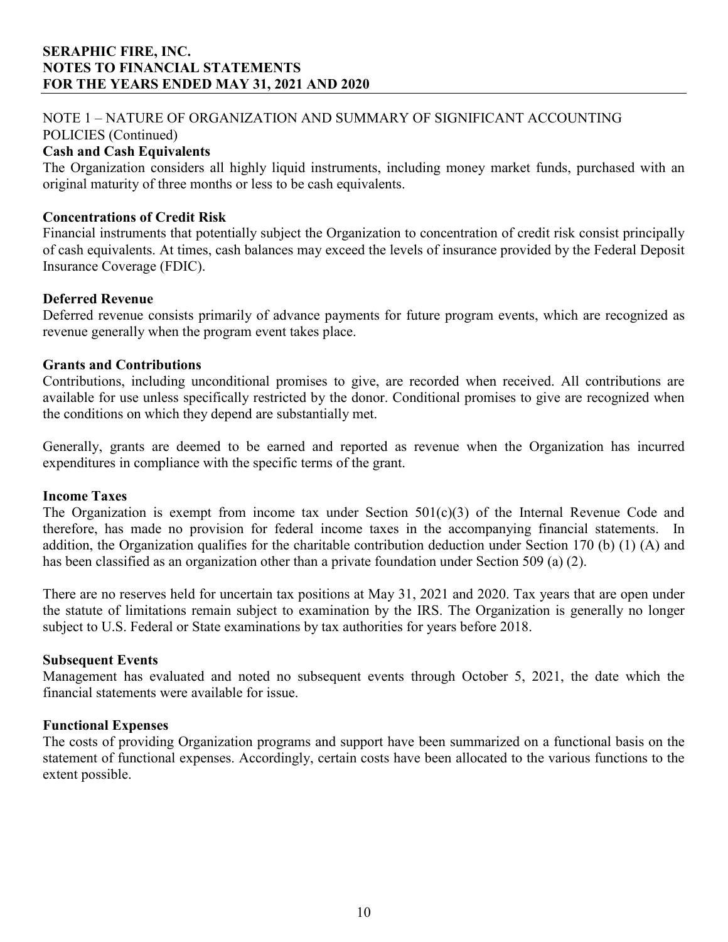# NOTE 1 – NATURE OF ORGANIZATION AND SUMMARY OF SIGNIFICANT ACCOUNTING

## POLICIES (Continued)

## **Cash and Cash Equivalents**

The Organization considers all highly liquid instruments, including money market funds, purchased with an original maturity of three months or less to be cash equivalents.

#### **Concentrations of Credit Risk**

Financial instruments that potentially subject the Organization to concentration of credit risk consist principally of cash equivalents. At times, cash balances may exceed the levels of insurance provided by the Federal Deposit Insurance Coverage (FDIC).

#### **Deferred Revenue**

Deferred revenue consists primarily of advance payments for future program events, which are recognized as revenue generally when the program event takes place.

#### **Grants and Contributions**

Contributions, including unconditional promises to give, are recorded when received. All contributions are available for use unless specifically restricted by the donor. Conditional promises to give are recognized when the conditions on which they depend are substantially met.

Generally, grants are deemed to be earned and reported as revenue when the Organization has incurred expenditures in compliance with the specific terms of the grant.

#### **Income Taxes**

The Organization is exempt from income tax under Section  $501(c)(3)$  of the Internal Revenue Code and therefore, has made no provision for federal income taxes in the accompanying financial statements. In addition, the Organization qualifies for the charitable contribution deduction under Section 170 (b) (1) (A) and has been classified as an organization other than a private foundation under Section 509 (a) (2).

There are no reserves held for uncertain tax positions at May 31, 2021 and 2020. Tax years that are open under the statute of limitations remain subject to examination by the IRS. The Organization is generally no longer subject to U.S. Federal or State examinations by tax authorities for years before 2018.

#### **Subsequent Events**

Management has evaluated and noted no subsequent events through October 5, 2021, the date which the financial statements were available for issue.

#### **Functional Expenses**

The costs of providing Organization programs and support have been summarized on a functional basis on the statement of functional expenses. Accordingly, certain costs have been allocated to the various functions to the extent possible.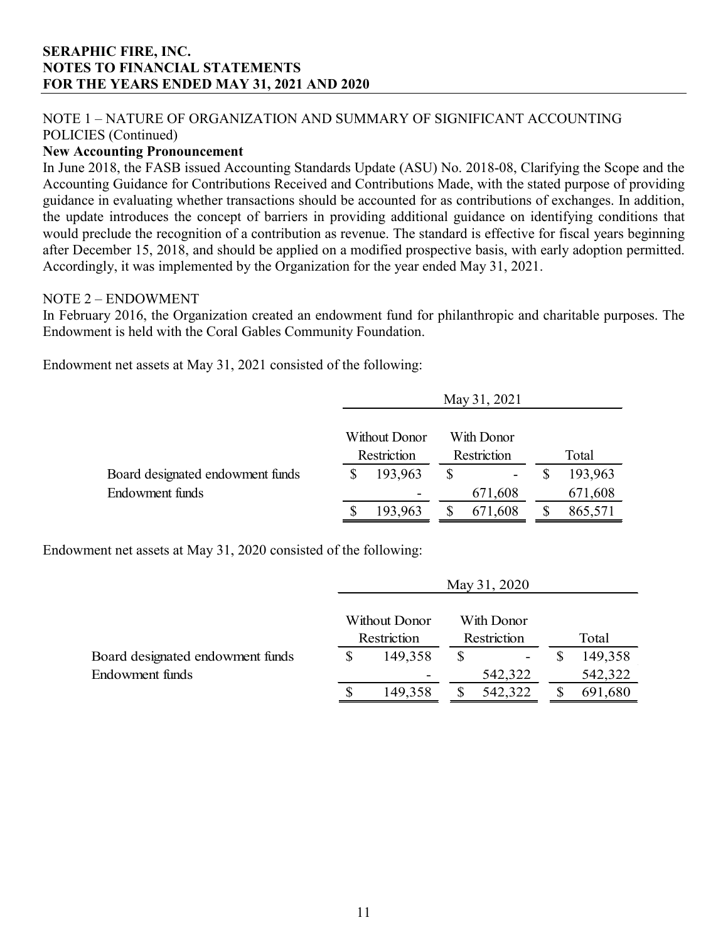## NOTE 1 – NATURE OF ORGANIZATION AND SUMMARY OF SIGNIFICANT ACCOUNTING POLICIES (Continued)

## **New Accounting Pronouncement**

In June 2018, the FASB issued Accounting Standards Update (ASU) No. 2018-08, Clarifying the Scope and the Accounting Guidance for Contributions Received and Contributions Made, with the stated purpose of providing guidance in evaluating whether transactions should be accounted for as contributions of exchanges. In addition, the update introduces the concept of barriers in providing additional guidance on identifying conditions that would preclude the recognition of a contribution as revenue. The standard is effective for fiscal years beginning after December 15, 2018, and should be applied on a modified prospective basis, with early adoption permitted. Accordingly, it was implemented by the Organization for the year ended May 31, 2021.

#### NOTE 2 – ENDOWMENT

In February 2016, the Organization created an endowment fund for philanthropic and charitable purposes. The Endowment is held with the Coral Gables Community Foundation.

Endowment net assets at May 31, 2021 consisted of the following:

|                                  |             |               | May 31, 2021 |             |         |
|----------------------------------|-------------|---------------|--------------|-------------|---------|
|                                  |             | Without Donor |              | With Donor  |         |
|                                  | Restriction |               |              | Restriction | Total   |
| Board designated endowment funds |             | 193,963       | \$           |             | 193,963 |
| Endowment funds                  |             |               |              | 671,608     | 671,608 |
|                                  |             | 193,963       |              | 671,608     | 865,571 |

Endowment net assets at May 31, 2020 consisted of the following:

|                                  |             |               | May 31, 2020 |             |         |
|----------------------------------|-------------|---------------|--------------|-------------|---------|
|                                  |             | Without Donor |              | With Donor  |         |
|                                  | Restriction |               |              | Restriction | Total   |
| Board designated endowment funds |             | 149,358       |              |             | 149,358 |
| Endowment funds                  |             |               |              | 542,322     | 542,322 |
|                                  | ۰Β          | 149,358       |              | 542,322     | 691,680 |

 $35, 21, 2020$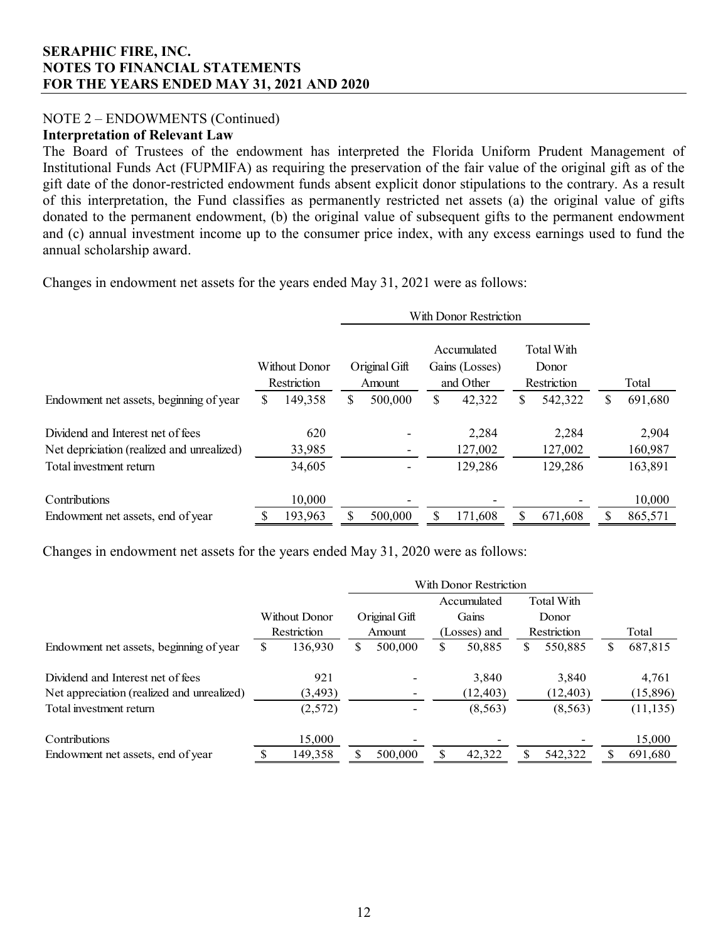## NOTE 2 – ENDOWMENTS (Continued)

#### **Interpretation of Relevant Law**

The Board of Trustees of the endowment has interpreted the Florida Uniform Prudent Management of Institutional Funds Act (FUPMIFA) as requiring the preservation of the fair value of the original gift as of the gift date of the donor-restricted endowment funds absent explicit donor stipulations to the contrary. As a result of this interpretation, the Fund classifies as permanently restricted net assets (a) the original value of gifts donated to the permanent endowment, (b) the original value of subsequent gifts to the permanent endowment and (c) annual investment income up to the consumer price index, with any excess earnings used to fund the annual scholarship award.

Changes in endowment net assets for the years ended May 31, 2021 were as follows:

|                                            |                              |         |                         | With Donor Restriction |                                            |         |                                    |         |               |
|--------------------------------------------|------------------------------|---------|-------------------------|------------------------|--------------------------------------------|---------|------------------------------------|---------|---------------|
|                                            | Without Donor<br>Restriction |         | Original Gift<br>Amount |                        | Accumulated<br>Gains (Losses)<br>and Other |         | Total With<br>Donor<br>Restriction |         | Total         |
| Endowment net assets, beginning of year    | S                            | 149,358 | \$                      | 500,000                | \$                                         | 42,322  | S                                  | 542,322 | \$<br>691,680 |
| Dividend and Interest net of fees          |                              | 620     |                         |                        |                                            | 2,284   |                                    | 2,284   | 2,904         |
| Net depriciation (realized and unrealized) |                              | 33,985  |                         |                        |                                            | 127,002 |                                    | 127,002 | 160,987       |
| Total investment return                    |                              | 34,605  |                         |                        |                                            | 129,286 |                                    | 129,286 | 163,891       |
| Contributions                              |                              | 10,000  |                         |                        |                                            |         |                                    |         | 10,000        |
| Endowment net assets, end of year          |                              | 193,963 |                         | 500,000                | S                                          | 171,608 |                                    | 671,608 | 865,571       |

Changes in endowment net assets for the years ended May 31, 2020 were as follows:

|                                            |    |               |   | With Donor Restriction |    |             |              |            |             |           |  |       |
|--------------------------------------------|----|---------------|---|------------------------|----|-------------|--------------|------------|-------------|-----------|--|-------|
|                                            |    |               |   |                        |    | Accumulated |              | Total With |             |           |  |       |
|                                            |    | Without Donor |   | Original Gift          |    | Gains       |              | Donor      |             |           |  |       |
|                                            |    | Restriction   |   | Amount                 |    |             | (Losses) and |            | Restriction |           |  | Total |
| Endowment net assets, beginning of year    | S  | 136,930       | S | 500,000                | \$ | 50,885      | S            | 550,885    | S           | 687,815   |  |       |
| Dividend and Interest net of fees          |    | 921           |   |                        |    | 3.840       |              | 3.840      |             | 4,761     |  |       |
| Net appreciation (realized and unrealized) |    | (3, 493)      |   |                        |    | (12, 403)   |              | (12, 403)  |             | (15,896)  |  |       |
| Total investment return                    |    | (2,572)       |   |                        |    | (8, 563)    |              | (8, 563)   |             | (11, 135) |  |       |
| Contributions                              |    | 15,000        |   |                        |    |             |              |            |             | 15,000    |  |       |
| Endowment net assets, end of year          | S. | 149,358       |   | 500,000                |    | 42,322      |              | 542,322    |             | 691,680   |  |       |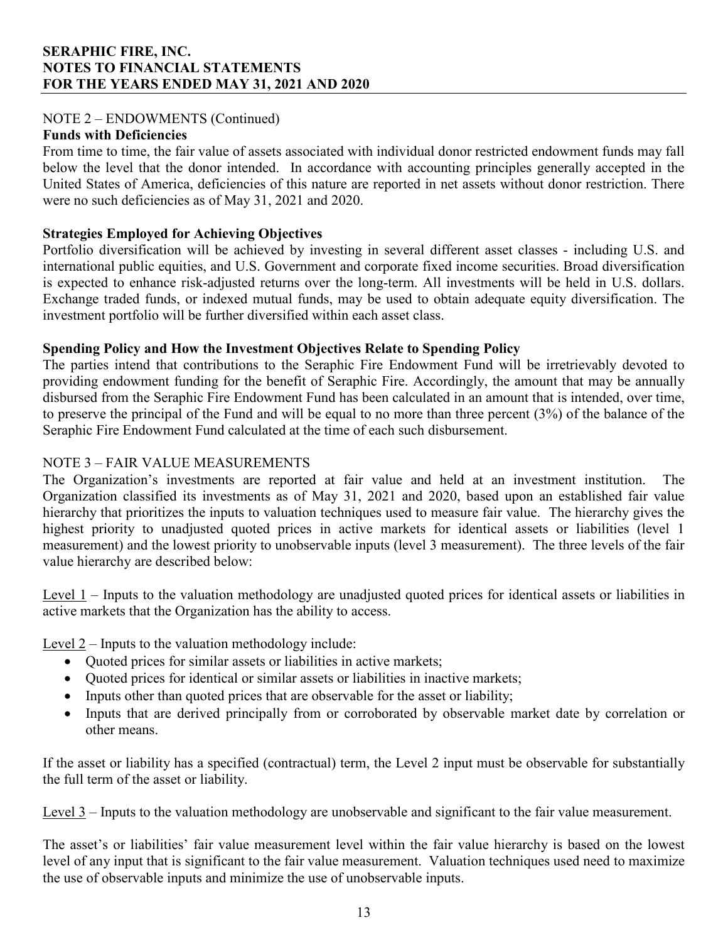## NOTE 2 – ENDOWMENTS (Continued)

#### **Funds with Deficiencies**

From time to time, the fair value of assets associated with individual donor restricted endowment funds may fall below the level that the donor intended. In accordance with accounting principles generally accepted in the United States of America, deficiencies of this nature are reported in net assets without donor restriction. There were no such deficiencies as of May 31, 2021 and 2020.

#### **Strategies Employed for Achieving Objectives**

Portfolio diversification will be achieved by investing in several different asset classes - including U.S. and international public equities, and U.S. Government and corporate fixed income securities. Broad diversification is expected to enhance risk-adjusted returns over the long-term. All investments will be held in U.S. dollars. Exchange traded funds, or indexed mutual funds, may be used to obtain adequate equity diversification. The investment portfolio will be further diversified within each asset class.

## **Spending Policy and How the Investment Objectives Relate to Spending Policy**

The parties intend that contributions to the Seraphic Fire Endowment Fund will be irretrievably devoted to providing endowment funding for the benefit of Seraphic Fire. Accordingly, the amount that may be annually disbursed from the Seraphic Fire Endowment Fund has been calculated in an amount that is intended, over time, to preserve the principal of the Fund and will be equal to no more than three percent (3%) of the balance of the Seraphic Fire Endowment Fund calculated at the time of each such disbursement.

## NOTE 3 – FAIR VALUE MEASUREMENTS

The Organization's investments are reported at fair value and held at an investment institution. The Organization classified its investments as of May 31, 2021 and 2020, based upon an established fair value hierarchy that prioritizes the inputs to valuation techniques used to measure fair value. The hierarchy gives the highest priority to unadjusted quoted prices in active markets for identical assets or liabilities (level 1 measurement) and the lowest priority to unobservable inputs (level 3 measurement). The three levels of the fair value hierarchy are described below:

Level 1 – Inputs to the valuation methodology are unadjusted quoted prices for identical assets or liabilities in active markets that the Organization has the ability to access.

Level  $2$  – Inputs to the valuation methodology include:

- Quoted prices for similar assets or liabilities in active markets;
- Quoted prices for identical or similar assets or liabilities in inactive markets;
- Inputs other than quoted prices that are observable for the asset or liability;
- Inputs that are derived principally from or corroborated by observable market date by correlation or other means.

If the asset or liability has a specified (contractual) term, the Level 2 input must be observable for substantially the full term of the asset or liability.

Level 3 – Inputs to the valuation methodology are unobservable and significant to the fair value measurement.

The asset's or liabilities' fair value measurement level within the fair value hierarchy is based on the lowest level of any input that is significant to the fair value measurement. Valuation techniques used need to maximize the use of observable inputs and minimize the use of unobservable inputs.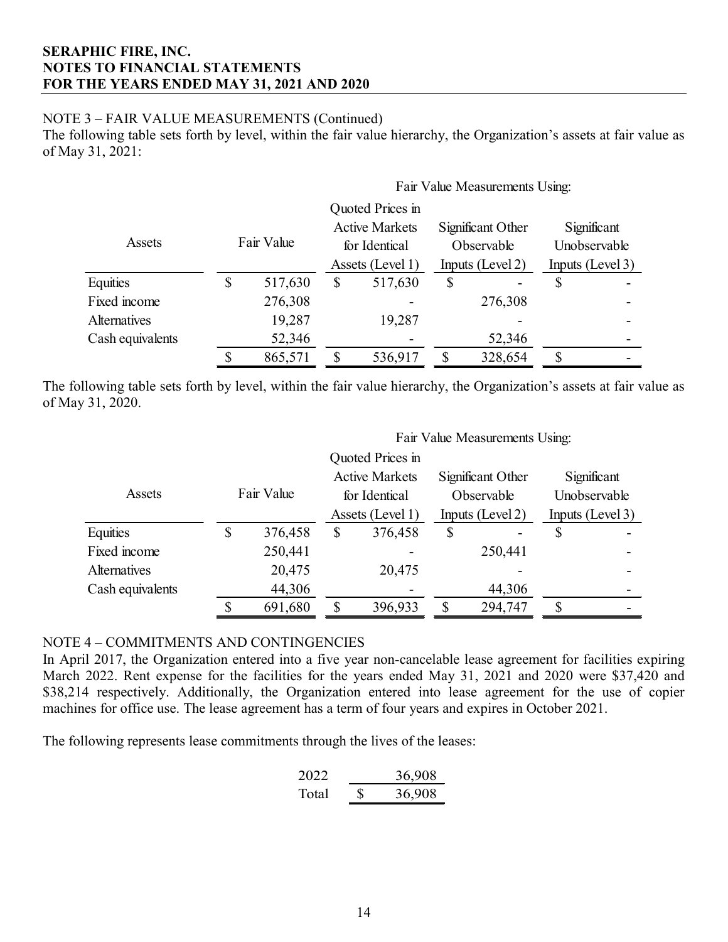## NOTE 3 – FAIR VALUE MEASUREMENTS (Continued)

The following table sets forth by level, within the fair value hierarchy, the Organization's assets at fair value as of May 31, 2021:

 $F \cdot \overline{v}$  Value Measurements Using:

|                  | Fair value Measurements Using: |         |                                                            |                  |                                                     |         |                                                 |  |
|------------------|--------------------------------|---------|------------------------------------------------------------|------------------|-----------------------------------------------------|---------|-------------------------------------------------|--|
|                  |                                |         |                                                            | Quoted Prices in |                                                     |         |                                                 |  |
|                  | Fair Value                     |         | <b>Active Markets</b><br>for Identical<br>Assets (Level 1) |                  | Significant Other<br>Observable<br>Inputs (Level 2) |         | Significant<br>Unobservable<br>Inputs (Level 3) |  |
| Assets           |                                |         |                                                            |                  |                                                     |         |                                                 |  |
|                  |                                |         |                                                            |                  |                                                     |         |                                                 |  |
| Equities         | \$                             | 517,630 | S                                                          | 517,630          | \$                                                  |         |                                                 |  |
| Fixed income     |                                | 276,308 |                                                            |                  |                                                     | 276,308 |                                                 |  |
| Alternatives     |                                | 19,287  |                                                            | 19,287           |                                                     |         |                                                 |  |
| Cash equivalents |                                | 52,346  |                                                            |                  |                                                     | 52,346  |                                                 |  |
|                  |                                | 865,571 |                                                            | 536,917          | \$                                                  | 328,654 | \$                                              |  |

The following table sets forth by level, within the fair value hierarchy, the Organization's assets at fair value as of May 31, 2020.

|                     |            |         |                                                            |                  |                                                     | Fair Value Measurements Using: |                                                 |  |
|---------------------|------------|---------|------------------------------------------------------------|------------------|-----------------------------------------------------|--------------------------------|-------------------------------------------------|--|
|                     |            |         |                                                            | Quoted Prices in |                                                     |                                |                                                 |  |
|                     | Fair Value |         | <b>Active Markets</b><br>for Identical<br>Assets (Level 1) |                  | Significant Other<br>Observable<br>Inputs (Level 2) |                                | Significant<br>Unobservable<br>Inputs (Level 3) |  |
| Assets              |            |         |                                                            |                  |                                                     |                                |                                                 |  |
|                     |            |         |                                                            |                  |                                                     |                                |                                                 |  |
| Equities            | \$         | 376,458 | \$                                                         | 376,458          | \$                                                  |                                | \$                                              |  |
| Fixed income        |            | 250,441 |                                                            |                  |                                                     | 250,441                        |                                                 |  |
| <b>Alternatives</b> |            | 20,475  |                                                            | 20,475           |                                                     |                                |                                                 |  |
| Cash equivalents    |            | 44,306  |                                                            |                  |                                                     | 44,306                         |                                                 |  |
|                     |            | 691,680 |                                                            | 396,933          | Ϛ                                                   | 294,747                        |                                                 |  |

#### NOTE 4 – COMMITMENTS AND CONTINGENCIES

In April 2017, the Organization entered into a five year non-cancelable lease agreement for facilities expiring March 2022. Rent expense for the facilities for the years ended May 31, 2021 and 2020 were \$37,420 and \$38,214 respectively. Additionally, the Organization entered into lease agreement for the use of copier machines for office use. The lease agreement has a term of four years and expires in October 2021.

The following represents lease commitments through the lives of the leases:

2022 36,908 Total \$ 36,908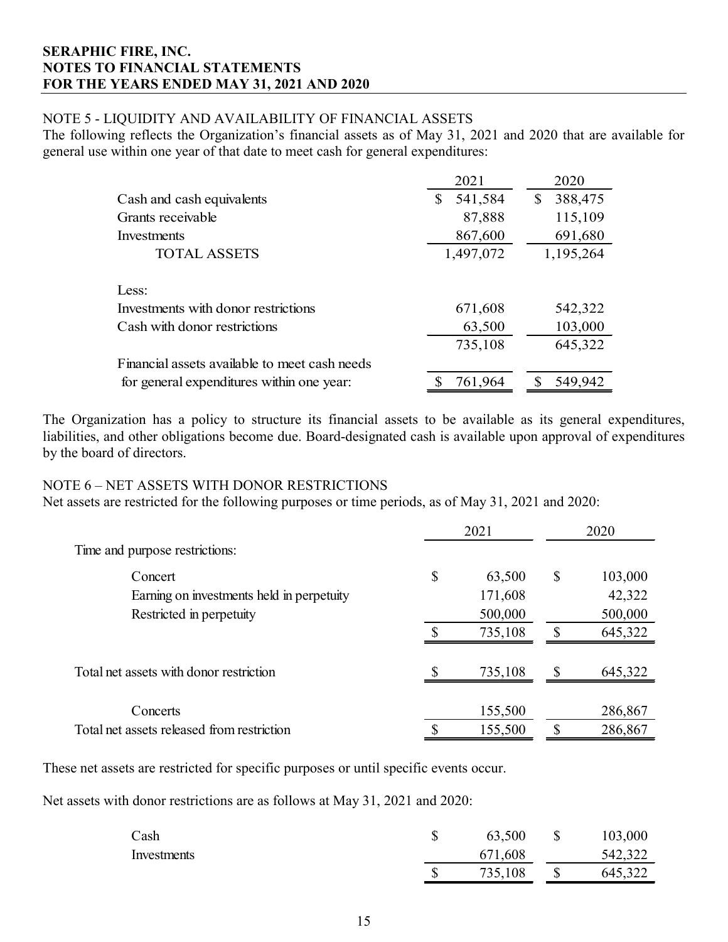## NOTE 5 - LIQUIDITY AND AVAILABILITY OF FINANCIAL ASSETS

The following reflects the Organization's financial assets as of May 31, 2021 and 2020 that are available for general use within one year of that date to meet cash for general expenditures:

|                                               | 2021          | 2020          |
|-----------------------------------------------|---------------|---------------|
| Cash and cash equivalents                     | 541,584<br>\$ | 388,475<br>\$ |
| Grants receivable                             | 87,888        | 115,109       |
| Investments                                   | 867,600       | 691,680       |
| <b>TOTAL ASSETS</b>                           | 1,497,072     | 1,195,264     |
|                                               |               |               |
| Less:                                         |               |               |
| Investments with donor restrictions           | 671,608       | 542,322       |
| Cash with donor restrictions                  | 63,500        | 103,000       |
|                                               | 735,108       | 645,322       |
| Financial assets available to meet cash needs |               |               |
| for general expenditures within one year:     | 761,964<br>S  | 549,942<br>S  |

The Organization has a policy to structure its financial assets to be available as its general expenditures, liabilities, and other obligations become due. Board-designated cash is available upon approval of expenditures by the board of directors.

#### NOTE 6 – NET ASSETS WITH DONOR RESTRICTIONS

Net assets are restricted for the following purposes or time periods, as of May 31, 2021 and 2020:

|                                            | 2021         |         | 2020                      |         |
|--------------------------------------------|--------------|---------|---------------------------|---------|
| Time and purpose restrictions:             |              |         |                           |         |
| Concert                                    | $\mathbb{S}$ | 63,500  | $\boldsymbol{\mathsf{S}}$ | 103,000 |
| Earning on investments held in perpetuity  |              | 171,608 |                           | 42,322  |
| Restricted in perpetuity                   |              | 500,000 |                           | 500,000 |
|                                            |              | 735,108 | S                         | 645,322 |
| Total net assets with donor restriction    | \$           | 735,108 | S                         | 645,322 |
| Concerts                                   |              | 155,500 |                           | 286,867 |
| Total net assets released from restriction | \$           | 155,500 | S                         | 286,867 |

These net assets are restricted for specific purposes or until specific events occur.

Net assets with donor restrictions are as follows at May 31, 2021 and 2020:

| Cash        | 63,500  | <sup>S</sup> | 103,000 |
|-------------|---------|--------------|---------|
| Investments | 671,608 |              | 542,322 |
|             | 735,108 |              | 645,322 |